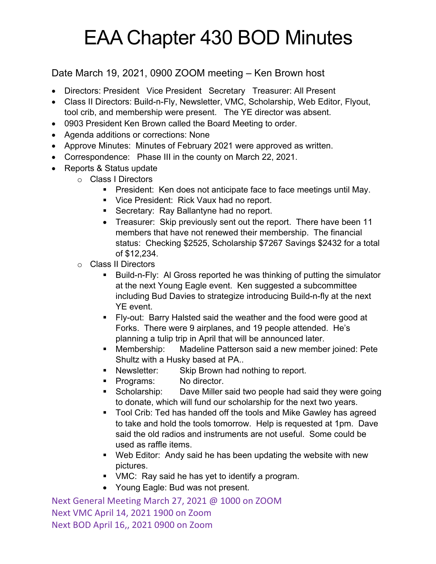## EAA Chapter 430 BOD Minutes

## Date March 19, 2021, 0900 ZOOM meeting – Ken Brown host

- Directors: President Vice President Secretary Treasurer: All Present
- Class II Directors: Build-n-Fly, Newsletter, VMC, Scholarship, Web Editor, Flyout, tool crib, and membership were present. The YE director was absent.
- 0903 President Ken Brown called the Board Meeting to order.
- Agenda additions or corrections: None
- Approve Minutes: Minutes of February 2021 were approved as written.
- Correspondence: Phase III in the county on March 22, 2021.
- Reports & Status update
	- o Class I Directors
		- President: Ken does not anticipate face to face meetings until May.
		- Vice President: Rick Vaux had no report.
		- Secretary: Ray Ballantyne had no report.
		- Treasurer: Skip previously sent out the report. There have been 11 members that have not renewed their membership. The financial status: Checking \$2525, Scholarship \$7267 Savings \$2432 for a total of \$12,234.
		- o Class II Directors
			- Build-n-Fly: Al Gross reported he was thinking of putting the simulator at the next Young Eagle event. Ken suggested a subcommittee including Bud Davies to strategize introducing Build-n-fly at the next YE event.
			- § Fly-out: Barry Halsted said the weather and the food were good at Forks. There were 9 airplanes, and 19 people attended. He's planning a tulip trip in April that will be announced later.
			- § Membership: Madeline Patterson said a new member joined: Pete Shultz with a Husky based at PA..
			- Newsletter: Skip Brown had nothing to report.
			- § Programs: No director.
			- Scholarship: Dave Miller said two people had said they were going to donate, which will fund our scholarship for the next two years.
			- Tool Crib: Ted has handed off the tools and Mike Gawley has agreed to take and hold the tools tomorrow. Help is requested at 1pm. Dave said the old radios and instruments are not useful. Some could be used as raffle items.
			- Web Editor: Andy said he has been updating the website with new pictures.
			- VMC: Ray said he has yet to identify a program.
			- Young Eagle: Bud was not present.

Next General Meeting March 27, 2021 @ 1000 on ZOOM Next VMC April 14, 2021 1900 on Zoom Next BOD April 16,, 2021 0900 on Zoom